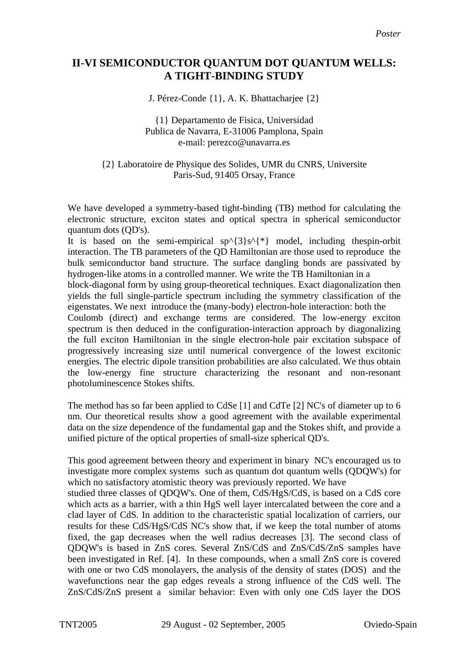## **II-VI SEMICONDUCTOR QUANTUM DOT QUANTUM WELLS: A TIGHT-BINDING STUDY**

J. Pérez-Conde {1}, A. K. Bhattacharjee {2}

## {1} Departamento de Fisica, Universidad Publica de Navarra, E-31006 Pamplona, Spain e-mail: perezco@unavarra.es

{2} Laboratoire de Physique des Solides, UMR du CNRS, Universite Paris-Sud, 91405 Orsay, France

We have developed a symmetry-based tight-binding (TB) method for calculating the electronic structure, exciton states and optical spectra in spherical semiconductor quantum dots (QD's).

It is based on the semi-empirical  $sp^{(3)}s^{(*)}$  model, including thespin-orbit interaction. The TB parameters of the QD Hamiltonian are those used to reproduce the bulk semiconductor band structure. The surface dangling bonds are passivated by hydrogen-like atoms in a controlled manner. We write the TB Hamiltonian in a

block-diagonal form by using group-theoretical techniques. Exact diagonalization then yields the full single-particle spectrum including the symmetry classification of the eigenstates. We next introduce the (many-body) electron-hole interaction: both the

Coulomb (direct) and exchange terms are considered. The low-energy exciton spectrum is then deduced in the configuration-interaction approach by diagonalizing the full exciton Hamiltonian in the single electron-hole pair excitation subspace of progressively increasing size until numerical convergence of the lowest excitonic energies. The electric dipole transition probabilities are also calculated. We thus obtain the low-energy fine structure characterizing the resonant and non-resonant photoluminescence Stokes shifts.

The method has so far been applied to CdSe [1] and CdTe [2] NC's of diameter up to 6 nm. Our theoretical results show a good agreement with the available experimental data on the size dependence of the fundamental gap and the Stokes shift, and provide a unified picture of the optical properties of small-size spherical QD's.

This good agreement between theory and experiment in binary NC's encouraged us to investigate more complex systems such as quantum dot quantum wells (QDQW's) for which no satisfactory atomistic theory was previously reported. We have studied three classes of QDQW's. One of them, CdS/HgS/CdS, is based on a CdS core which acts as a barrier, with a thin HgS well layer intercalated between the core and a clad layer of CdS. In addition to the characteristic spatial localization of carriers, our results for these CdS/HgS/CdS NC's show that, if we keep the total number of atoms fixed, the gap decreases when the well radius decreases [3]. The second class of QDQW's is based in ZnS cores. Several ZnS/CdS and ZnS/CdS/ZnS samples have been investigated in Ref. [4]. In these compounds, when a small ZnS core is covered with one or two CdS monolayers, the analysis of the density of states (DOS) and the wavefunctions near the gap edges reveals a strong influence of the CdS well. The ZnS/CdS/ZnS present a similar behavior: Even with only one CdS layer the DOS